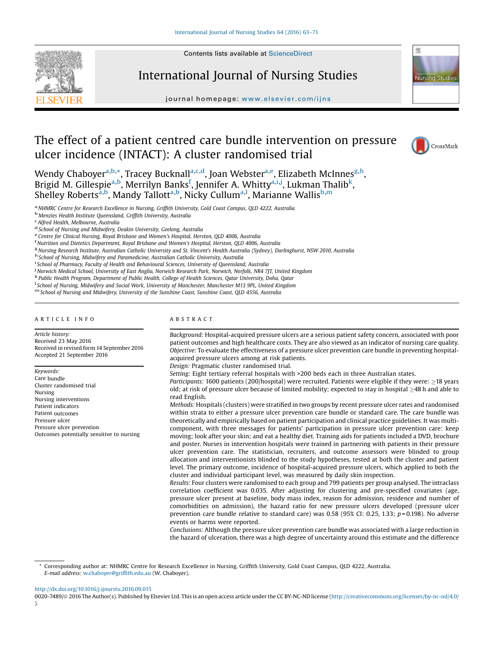# International Journal of Nursing Studies

journal homepage: <www.elsevier.com/ijns>

## The effect of a patient centred care bundle intervention on pressure ulcer incidence (INTACT): A cluster randomised trial



Nursing Studies

Wendy Chaboyer<sup>a,b,</sup>\*, Tracey Bucknall<sup>a,c,d</sup>, Joan Webster<sup>a,e</sup>, Elizabeth McInnes<sup>g,h</sup>, Brigid M. Gillespie<sup>a,b</sup>, Merrilyn Banks<sup>f</sup>, Jennifer A. Whitty<sup>a,i,j</sup>, Lukman Thalib<sup>k</sup>, Shelley Roberts<sup>a,b</sup>, Mandy Tallott<sup>a,b</sup>, Nicky Cullum<sup>a,l</sup>, Marianne Wallis<sup>b,m</sup>

<sup>a</sup> NHMRC Centre for Research Excellence in Nursing, Griffith University, Gold Coast Campus, QLD 4222, Australia<br><sup>b</sup> Menzies Health Institute Queensland, Griffith University, Australia candidation of Alfred Health, Melbou

<sup>d</sup> School of Nursing and Midwifery, Deakin University, Geelong, Australia<br><sup>e</sup> Centre for Clinical Nursing, Royal Brisbane and Women's Hospital, Herston, QLD 4006, Australia<br><sup>f</sup> Nutrition and Dietetics Department, Royal B

<sup>g</sup> Nursing Research Institute, Australian Catholic University and St. Vincent's Health Australia (Sydney), Darlinghurst, NSW 2010, Australia<br><sup>In</sup> School of Nursing, Midwifery and Paramedicine, Australian Catholic Universi

<sup>i</sup> School of Pharmacy, Faculty of Health and Behavioural Sciences, University of Queensland, Australia<br><sup>j</sup> Norwich Medical School, University of East Anglia, Norwich Research Park, Norwich, Norfolk, NR4 7JT, United Kingdo

<sup>k</sup> Public Health Program, Department of Public Health, College of Health Sciences, Qatar University, Doha, Qatar<br><sup>1</sup> School of Nursing, Midwifery and Social Work, University of Manchester, Manchester M13 9PL, United Kingd

m School of Nursing and Midwifery, University of the Sunshine Coast, Sunshine Coast, QLD 4556, Australia

#### A R T I C L E I N F O

#### Article history: Received 23 May 2016

Received in revised form 14 September 2016 Accepted 21 September 2016

## Keywords:

Care bundle Cluster randomised trial Nursing Nursing interventions Patient indicators Patient outcomes Pressure ulcer Pressure ulcer prevention Outcomes potentially sensitive to nursing

#### A B S T R A C T

Background: Hospital-acquired pressure ulcers are a serious patient safety concern, associated with poor patient outcomes and high healthcare costs. They are also viewed as an indicator of nursing care quality. Objective: To evaluate the effectiveness of a pressure ulcer prevention care bundle in preventing hospitalacquired pressure ulcers among at risk patients.

Design: Pragmatic cluster randomised trial.

Setting: Eight tertiary referral hospitals with >200 beds each in three Australian states.

Participants: 1600 patients (200/hospital) were recruited. Patients were eligible if they were:  $\geq$ 18 years old; at risk of pressure ulcer because of limited mobility; expected to stay in hospital  $\geq$ 48 h and able to read English.

Methods: Hospitals (clusters) were stratified in two groups by recent pressure ulcer rates and randomised within strata to either a pressure ulcer prevention care bundle or standard care. The care bundle was theoretically and empirically based on patient participation and clinical practice guidelines. It was multicomponent, with three messages for patients' participation in pressure ulcer prevention care: keep moving; look after your skin; and eat a healthy diet. Training aids for patients included a DVD, brochure and poster. Nurses in intervention hospitals were trained in partnering with patients in their pressure ulcer prevention care. The statistician, recruiters, and outcome assessors were blinded to group allocation and interventionists blinded to the study hypotheses, tested at both the cluster and patient level. The primary outcome, incidence of hospital-acquired pressure ulcers, which applied to both the cluster and individual participant level, was measured by daily skin inspection.

Results: Four clusters were randomised to each group and 799 patients per group analysed. The intraclass correlation coefficient was 0.035. After adjusting for clustering and pre-specified covariates (age, pressure ulcer present at baseline, body mass index, reason for admission, residence and number of comorbidities on admission), the hazard ratio for new pressure ulcers developed (pressure ulcer prevention care bundle relative to standard care) was 0.58 (95% CI: 0.25, 1.33;  $p = 0.198$ ). No adverse events or harms were reported.

Conclusions: Although the pressure ulcer prevention care bundle was associated with a large reduction in the hazard of ulceration, there was a high degree of uncertainty around this estimate and the difference

<http://dx.doi.org/10.1016/j.ijnurstu.2016.09.015>

<sup>\*</sup> Corresponding author at: NHMRC Centre for Research Excellence in Nursing, Griffith University, Gold Coast Campus, QLD 4222, Australia. E-mail address: [w.chaboyer@grif](mailto:w.chaboyer@griffith.edu.au)fith.edu.au (W. Chaboyer).

<sup>0020-7489/© 2016</sup> The Author(s). Published by Elsevier Ltd. This is an open access article under the CC BY-NC-ND license [\(http://creativecommons.org/licenses/by-nc-nd/4.0/](http://creativecommons.org/licenses/by-nc-nd/4.0/) ).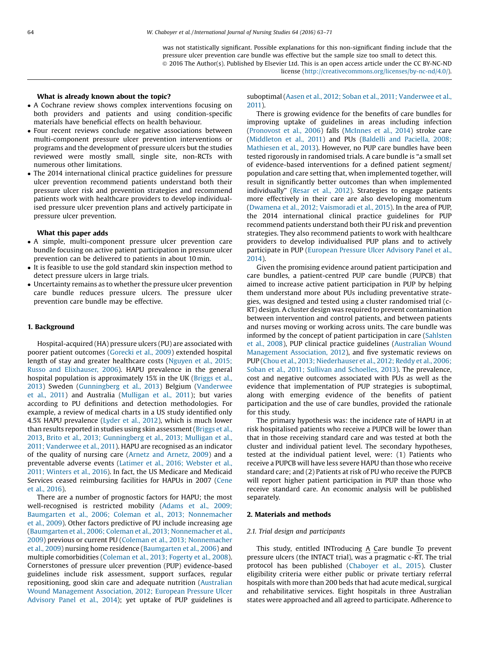was not statistically significant. Possible explanations for this non-significant finding include that the pressure ulcer prevention care bundle was effective but the sample size too small to detect this. ã 2016 The Author(s). Published by Elsevier Ltd. This is an open access article under the CC BY-NC-ND license [\(http://creativecommons.org/licenses/by-nc-nd/4.0/](http://creativecommons.org/licenses/by-nc-nd/4.0/)).

## What is already known about the topic?

- A Cochrane review shows complex interventions focusing on both providers and patients and using condition-specific materials have beneficial effects on health behaviour.
- Four recent reviews conclude negative associations between multi-component pressure ulcer prevention interventions or programs and the development of pressure ulcers but the studies reviewed were mostly small, single site, non-RCTs with numerous other limitations.
- The 2014 international clinical practice guidelines for pressure ulcer prevention recommend patients understand both their pressure ulcer risk and prevention strategies and recommend patients work with healthcare providers to develop individualised pressure ulcer prevention plans and actively participate in pressure ulcer prevention.

#### What this paper adds

- A simple, multi-component pressure ulcer prevention care bundle focusing on active patient participation in pressure ulcer prevention can be delivered to patients in about 10 min.
- It is feasible to use the gold standard skin inspection method to detect pressure ulcers in large trials.
- Uncertainty remains as to whether the pressure ulcer prevention care bundle reduces pressure ulcers. The pressure ulcer prevention care bundle may be effective.

## 1. Background

Hospital-acquired (HA) pressure ulcers (PU) are associated with poorer patient outcomes ([Gorecki](#page-7-0) et al., 2009) extended hospital length of stay and greater healthcare costs ([Nguyen](#page-7-0) et al., 2015; Russo and [Elixhauser,](#page-7-0) 2006). HAPU prevalence in the general hospital population is approximately 15% in the UK ([Briggs](#page-7-0) et al., [2013](#page-7-0)) Sweden ([Gunningberg](#page-7-0) et al., 2013) Belgium ([Vanderwee](#page-8-0) et al., [2011\)](#page-8-0) and Australia ([Mulligan](#page-7-0) et al., 2011); but varies according to PU definitions and detection methodologies. For example, a review of medical charts in a US study identified only 4.5% HAPU prevalence [\(Lyder](#page-7-0) et al., 2012), which is much lower than results reported in studies using skin assessment([Briggs](#page-7-0) et al., [2013](#page-7-0), Brito et al., 2013; [Gunningberg](#page-7-0) et al., 2013; Mulligan et al., 2011; [Vanderwee](#page-7-0) et al., 2011). HAPU are recognised as an indicator of the quality of nursing care (Arnetz and [Arnetz,](#page-7-0) 2009) and a preventable adverse events (Latimer et al., 2016; [Webster](#page-7-0) et al., 2011; [Winters](#page-7-0) et al., 2016). In fact, the US Medicare and Medicaid Services ceased reimbursing facilities for HAPUs in 2007 [\(Cene](#page-7-0) et al., [2016](#page-7-0)).

There are a number of prognostic factors for HAPU; the most well-recognised is restricted mobility ([Adams](#page-7-0) et al., 2009; Baumgarten et al., 2006; Coleman et al., 2013; [Nonnemacher](#page-7-0) et al., [2009](#page-7-0)). Other factors predictive of PU include increasing age (Baumgarten et al., 2006; Coleman et al., 2013; [Nonnemacher](#page-7-0) et al., [2009](#page-7-0)) previous or current PU (Coleman et al., 2013; [Nonnemacher](#page-7-0) et al., [2009\)](#page-7-0) nursing home residence ([Baumgarten](#page-7-0) et al., 2006) and multiple comorbidities [\(Coleman](#page-7-0) et al., 2013; Fogerty et al., 2008). Cornerstones of pressure ulcer prevention (PUP) evidence-based guidelines include risk assessment, support surfaces, regular repositioning, good skin care and adequate nutrition ([Australian](#page-7-0) Wound [Management](#page-7-0) Association, 2012; European Pressure Ulcer [Advisory](#page-7-0) Panel et al., 2014); yet uptake of PUP guidelines is

suboptimal (Aasen et al., 2012; Soban et al., 2011; [Vanderwee](#page-7-0) et al., [2011\)](#page-7-0).

There is growing evidence for the benefits of care bundles for improving uptake of guidelines in areas including infection ([Pronovost](#page-8-0) et al., 2006) falls ([McInnes](#page-7-0) et al., 2014) stroke care ([Middleton](#page-7-0) et al., 2011) and PUs (Baldelli and [Paciella,](#page-7-0) 2008; [Mathiesen](#page-7-0) et al., 2013). However, no PUP care bundles have been tested rigorously in randomised trials. A care bundle is "a small set of evidence-based interventions for a defined patient segment/ population and care setting that, when implemented together, will result in significantly better outcomes than when implemented individually" ([Resar](#page-8-0) et al., 2012). Strategies to engage patients more effectively in their care are also developing momentum (Dwamena et al., 2012; [Vaismoradi](#page-7-0) et al., 2015). In the area of PUP, the 2014 international clinical practice guidelines for PUP recommend patients understand both their PU risk and prevention strategies. They also recommend patients to work with healthcare providers to develop individualised PUP plans and to actively participate in PUP [\(European](#page-7-0) Pressure Ulcer Advisory Panel et al., [2014](#page-7-0)).

Given the promising evidence around patient participation and care bundles, a patient-centred PUP care bundle (PUPCB) that aimed to increase active patient participation in PUP by helping them understand more about PUs including preventative strategies, was designed and tested using a cluster randomised trial (c-RT) design. A cluster design was required to prevent contamination between intervention and control patients, and between patients and nurses moving or working across units. The care bundle was informed by the concept of patient participation in care ([Sahlsten](#page-8-0) et al., [2008](#page-8-0)), PUP clinical practice guidelines ([Australian](#page-7-0) Wound [Management](#page-7-0) Association, 2012), and five systematic reviews on PUP (Chou et al., 2013; [Niederhauser](#page-7-0) et al., 2012; Reddy et al., 2006; Soban et al., 2011; Sullivan and [Schoelles,](#page-7-0) 2013). The prevalence, cost and negative outcomes associated with PUs as well as the evidence that implementation of PUP strategies is suboptimal, along with emerging evidence of the benefits of patient participation and the use of care bundles, provided the rationale for this study.

The primary hypothesis was: the incidence rate of HAPU in at risk hospitalised patients who receive a PUPCB will be lower than that in those receiving standard care and was tested at both the cluster and individual patient level. The secondary hypotheses, tested at the individual patient level, were: (1) Patients who receive a PUPCB will have less severe HAPU than those who receive standard care; and (2) Patients at risk of PU who receive the PUPCB will report higher patient participation in PUP than those who receive standard care. An economic analysis will be published separately.

#### 2. Materials and methods

#### 2.1. Trial design and participants

This study, entitled INTroducing  $A$  Care bundle To prevent pressure ulcers (the INTACT trial), was a pragmatic c-RT. The trial protocol has been published ([Chaboyer](#page-7-0) et al., 2015). Cluster eligibility criteria were either public or private tertiary referral hospitals with more than 200 beds that had acute medical, surgical and rehabilitative services. Eight hospitals in three Australian states were approached and all agreed to participate. Adherence to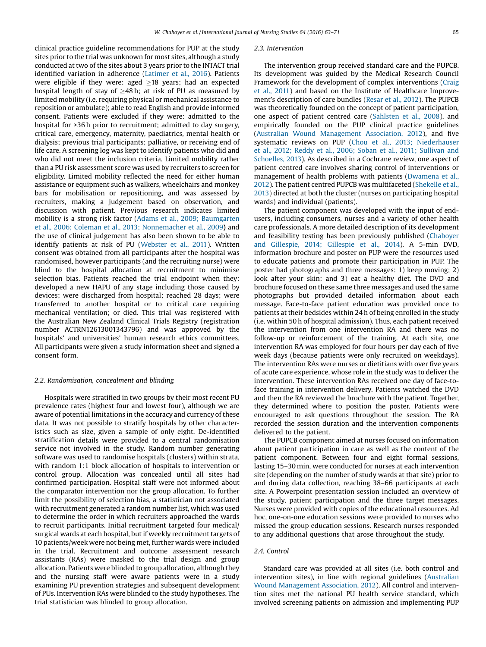clinical practice guideline recommendations for PUP at the study sites prior to the trial was unknown for most sites, although a study conducted at two of the sites about 3 years prior to the INTACT trial identified variation in adherence ([Latimer](#page-7-0) et al., 2016). Patients were eligible if they were: aged  $\geq$ 18 years; had an expected hospital length of stay of  $\geq$ 48 h; at risk of PU as measured by limited mobility (i.e. requiring physical or mechanical assistance to reposition or ambulate); able to read English and provide informed consent. Patients were excluded if they were: admitted to the hospital for >36 h prior to recruitment; admitted to day surgery, critical care, emergency, maternity, paediatrics, mental health or dialysis; previous trial participants; palliative, or receiving end of life care. A screening log was kept to identify patients who did and who did not meet the inclusion criteria. Limited mobility rather than a PU risk assessment score was used by recruiters to screen for eligibility. Limited mobility reflected the need for either human assistance or equipment such as walkers, wheelchairs and monkey bars for mobilisation or repositioning, and was assessed by recruiters, making a judgement based on observation, and discussion with patient. Previous research indicates limited mobility is a strong risk factor (Adams et al., 2009; [Baumgarten](#page-7-0) et al., 2006; Coleman et al., 2013; [Nonnemacher](#page-7-0) et al., 2009) and the use of clinical judgement has also been shown to be able to identify patients at risk of PU ([Webster](#page-8-0) et al., 2011). Written consent was obtained from all participants after the hospital was randomised, however participants (and the recruiting nurse) were blind to the hospital allocation at recruitment to minimise selection bias. Patients reached the trial endpoint when they: developed a new HAPU of any stage including those caused by devices; were discharged from hospital; reached 28 days; were transferred to another hospital or to critical care requiring mechanical ventilation; or died. This trial was registered with the Australian New Zealand Clinical Trials Registry (registration number ACTRN12613001343796) and was approved by the hospitals' and universities' human research ethics committees. All participants were given a study information sheet and signed a consent form.

#### 2.2. Randomisation, concealment and blinding

Hospitals were stratified in two groups by their most recent PU prevalence rates (highest four and lowest four), although we are aware of potential limitations in the accuracy and currency of these data. It was not possible to stratify hospitals by other characteristics such as size, given a sample of only eight. De-identified stratification details were provided to a central randomisation service not involved in the study. Random number generating software was used to randomise hospitals (clusters) within strata, with random 1:1 block allocation of hospitals to intervention or control group. Allocation was concealed until all sites had confirmed participation. Hospital staff were not informed about the comparator intervention nor the group allocation. To further limit the possibility of selection bias, a statistician not associated with recruitment generated a random number list, which was used to determine the order in which recruiters approached the wards to recruit participants. Initial recruitment targeted four medical/ surgical wards at each hospital, but if weekly recruitment targets of 10 patients/week were not being met, further wards were included in the trial. Recruitment and outcome assessment research assistants (RAs) were masked to the trial design and group allocation. Patients were blinded to group allocation, although they and the nursing staff were aware patients were in a study examining PU prevention strategies and subsequent development of PUs. Intervention RAs were blinded to the study hypotheses. The trial statistician was blinded to group allocation.

#### 2.3. Intervention

The intervention group received standard care and the PUPCB. Its development was guided by the Medical Research Council Framework for the development of complex interventions [\(Craig](#page-7-0) et al., [2011](#page-7-0)) and based on the Institute of Healthcare Improvement's description of care bundles ([Resar](#page-8-0) et al., 2012). The PUPCB was theoretically founded on the concept of patient participation, one aspect of patient centred care [\(Sahlsten](#page-8-0) et al., 2008), and empirically founded on the PUP clinical practice guidelines (Australian Wound [Management](#page-7-0) Association, 2012), and five systematic reviews on PUP (Chou et al., 2013; [Niederhauser](#page-7-0) et al., 2012; Reddy et al., 2006; Soban et al., 2011; [Sullivan](#page-7-0) and [Schoelles,](#page-7-0) 2013). As described in a Cochrane review, one aspect of patient centred care involves sharing control of interventions or management of health problems with patients ([Dwamena](#page-7-0) et al., [2012](#page-7-0)). The patient centred PUPCB was multifaceted [\(Shekelle](#page-8-0) et al., [2013](#page-8-0)) directed at both the cluster (nurses on participating hospital wards) and individual (patients).

The patient component was developed with the input of endusers, including consumers, nurses and a variety of other health care professionals. A more detailed description of its development and feasibility testing has been previously published ([Chaboyer](#page-7-0) and [Gillespie,](#page-7-0) 2014; Gillespie et al., 2014). A 5-min DVD, information brochure and poster on PUP were the resources used to educate patients and promote their participation in PUP. The poster had photographs and three messages: 1) keep moving; 2) look after your skin; and 3) eat a healthy diet. The DVD and brochure focused on these same three messages and used the same photographs but provided detailed information about each message. Face-to-face patient education was provided once to patients at their bedsides within 24 h of being enrolled in the study (i.e. within 50 h of hospital admission). Thus, each patient received the intervention from one intervention RA and there was no follow-up or reinforcement of the training. At each site, one intervention RA was employed for four hours per day each of five week days (because patients were only recruited on weekdays). The intervention RAs were nurses or dietitians with over five years of acute care experience, whose role in the study was to deliver the intervention. These intervention RAs received one day of face-toface training in intervention delivery. Patients watched the DVD and then the RA reviewed the brochure with the patient. Together, they determined where to position the poster. Patients were encouraged to ask questions throughout the session. The RA recorded the session duration and the intervention components delivered to the patient.

The PUPCB component aimed at nurses focused on information about patient participation in care as well as the content of the patient component. Between four and eight formal sessions, lasting 15–30 min, were conducted for nurses at each intervention site (depending on the number of study wards at that site) prior to and during data collection, reaching 38–66 participants at each site. A Powerpoint presentation session included an overview of the study, patient participation and the three target messages. Nurses were provided with copies of the educational resources. Ad hoc, one-on-one education sessions were provided to nurses who missed the group education sessions. Research nurses responded to any additional questions that arose throughout the study.

#### 2.4. Control

Standard care was provided at all sites (i.e. both control and intervention sites), in line with regional guidelines ([Australian](#page-7-0) Wound [Management](#page-7-0) Association, 2012). All control and intervention sites met the national PU health service standard, which involved screening patients on admission and implementing PUP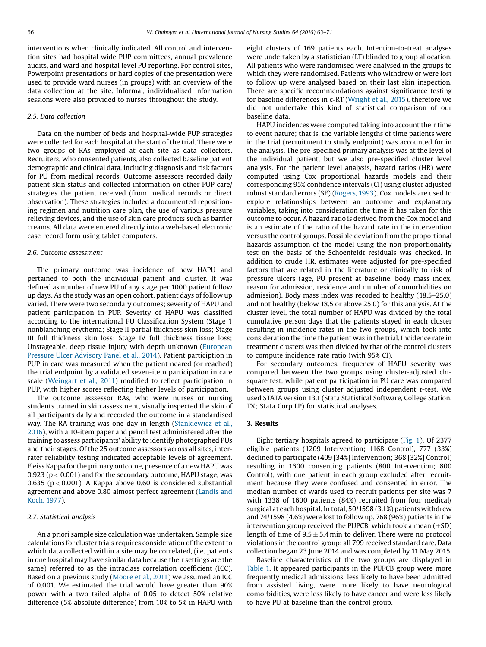interventions when clinically indicated. All control and intervention sites had hospital wide PUP committees, annual prevalence audits, and ward and hospital level PU reporting. For control sites, Powerpoint presentations or hard copies of the presentation were used to provide ward nurses (in groups) with an overview of the data collection at the site. Informal, individualised information sessions were also provided to nurses throughout the study.

#### 2.5. Data collection

Data on the number of beds and hospital-wide PUP strategies were collected for each hospital at the start of the trial. There were two groups of RAs employed at each site as data collectors. Recruiters, who consented patients, also collected baseline patient demographic and clinical data, including diagnosis and risk factors for PU from medical records. Outcome assessors recorded daily patient skin status and collected information on other PUP care/ strategies the patient received (from medical records or direct observation). These strategies included a documented repositioning regimen and nutrition care plan, the use of various pressure relieving devices, and the use of skin care products such as barrier creams. All data were entered directly into a web-based electronic case record form using tablet computers.

#### 2.6. Outcome assessment

The primary outcome was incidence of new HAPU and pertained to both the individiual patient and cluster. It was defined as number of new PU of any stage per 1000 patient follow up days. As the study was an open cohort, patient days of follow up varied. There were two secondary outcomes; severity of HAPU and patient participation in PUP. Severity of HAPU was classified according to the international PU Classification System (Stage 1 nonblanching erythema; Stage II partial thickness skin loss; Stage III full thickness skin loss; Stage IV full thickness tissue loss; Unstageable, deep tissue injury with depth unknown [\(European](#page-7-0) Pressure Ulcer [Advisory](#page-7-0) Panel et al., 2014). Patient particiption in PUP in care was measured when the patient neared (or reached) the trial endpoint by a validated seven-item participation in care scale [\(Weingart](#page-8-0) et al., 2011) modified to reflect participation in PUP, with higher scores reflecting higher levels of participation.

The outcome asssessor RAs, who were nurses or nursing students trained in skin assessment, visually inspected the skin of all participants daily and recorded the outcome in a standardised way. The RA training was one day in length [\(Stankiewicz](#page-8-0) et al., [2016](#page-8-0)), with a 10-item paper and pencil test administered after the training to assess participants' ability to identify photographed PUs and their stages. Of the 25 outcome assessors across all sites, interrater reliability testing indicated acceptable levels of agreement. Fleiss Kappa for the primary outcome, presence of a new HAPU was 0.923 ( $p < 0.001$ ) and for the secondary outcome, HAPU stage, was 0.635 ( $p < 0.001$ ). A Kappa above 0.60 is considered substantial agreement and above 0.80 almost perfect agreement [\(Landis](#page-7-0) and [Koch,](#page-7-0) 1977).

## 2.7. Statistical analysis

An a priori sample size calculation was undertaken. Sample size calculations for cluster trials requires consideration of the extent to which data collected within a site may be correlated, (i.e. patients in one hospital may have similar data because their settings are the same) referred to as the intraclass correlation coefficient (ICC). Based on a previous study [\(Moore](#page-7-0) et al., 2011) we assumed an ICC of 0.001. We estimated the trial would have greater than 90% power with a two tailed alpha of 0.05 to detect 50% relative difference (5% absolute difference) from 10% to 5% in HAPU with eight clusters of 169 patients each. Intention-to-treat analyses were undertaken by a statistician (LT) blinded to group allocation. All patients who were randomised were analysed in the groups to which they were randomised. Patients who withdrew or were lost to follow up were analysed based on their last skin inspection. There are specific recommendations against significance testing for baseline differences in c-RT ([Wright](#page-8-0) et al., 2015), therefore we did not undertake this kind of statistical comparison of our baseline data.

HAPU incidences were computed taking into account their time to event nature; that is, the variable lengths of time patients were in the trial (recruitment to study endpoint) was accounted for in the analysis. The pre-specified primary analysis was at the level of the individual patient, but we also pre-specified cluster level analysis. For the patient level analysis, hazard ratios (HR) were computed using Cox proportional hazards models and their corresponding 95% confidence intervals (CI) using cluster adjusted robust standard errors (SE) ([Rogers,](#page-8-0) 1993). Cox models are used to explore relationships between an outcome and explanatory variables, taking into consideration the time it has taken for this outcome to occur. A hazard ratio is derived from the Cox model and is an estimate of the ratio of the hazard rate in the intervention versus the control groups. Possible deviation from the proportional hazards assumption of the model using the non-proportionality test on the basis of the Schoenfeldt residuals was checked. In addition to crude HR, estimates were adjusted for pre-specified factors that are related in the literature or clinically to risk of pressure ulcers (age, PU present at baseline, body mass index, reason for admission, residence and number of comorbidities on admission). Body mass index was recoded to healthy (18.5–25.0) and not healthy (below 18.5 or above 25.0) for this analysis. At the cluster level, the total number of HAPU was divided by the total cumulative person days that the patients stayed in each cluster resulting in incidence rates in the two groups, which took into consideration the time the patient was in the trial. Incidence rate in treatment clusters was then divided by that of the control clusters to compute incidence rate ratio (with 95% CI).

For secondary outcomes, frequency of HAPU severity was compared between the two groups using cluster-adjusted chisquare test, while patient participation in PU care was compared between groups using cluster adjusted independent t-test. We used STATA version 13.1 (Stata Statistical Software, College Station, TX; Stata Corp LP) for statistical analyses.

### 3. Results

Eight tertiary hospitals agreed to participate [\(Fig.](#page-4-0) 1). Of 2377 eligible patients (1209 Intervention; 1168 Control), 777 (33%) declined to participate (409 [34%] Intervention; 368 [32%] Control) resulting in 1600 consenting patients (800 Intervention; 800 Control), with one patient in each group excluded after recruitment because they were confused and consented in error. The median number of wards used to recruit patients per site was 7 with 1338 of 1600 patients (84%) recruited from four medical/ surgical at each hospital. In total, 50/1598 (3.1%) patients withdrew and 74/1598 (4.6%) were lost to follow up. 768 (96%) patients in the intervention group received the PUPCB, which took a mean  $(\pm SD)$ length of time of  $9.5 \pm 5.4$  min to deliver. There were no protocol violations in the control group; all 799 received standard care. Data collection began 23 June 2014 and was completed by 11 May 2015.

Baseline characteristics of the two groups are displayed in [Table](#page-5-0) 1. It appeared participants in the PUPCB group were more frequently medical admissions, less likely to have been admitted from assisted living, were more likely to have neurological comorbidities, were less likely to have cancer and were less likely to have PU at baseline than the control group.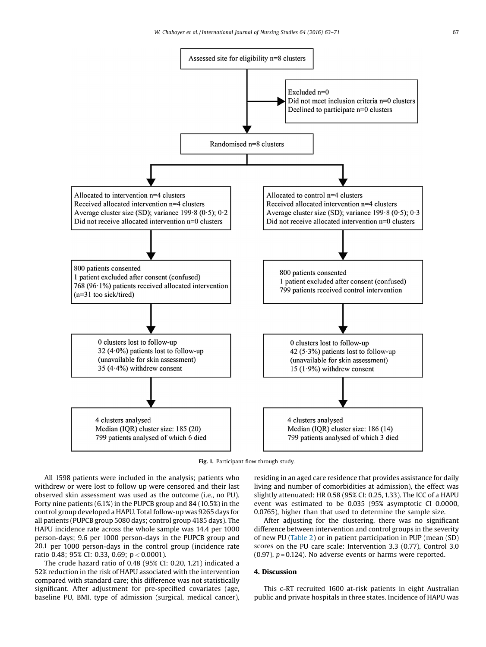<span id="page-4-0"></span>

Fig. 1. Participant flow through study.

All 1598 patients were included in the analysis; patients who withdrew or were lost to follow up were censored and their last observed skin assessment was used as the outcome (i.e., no PU). Forty nine patients (6.1%) in the PUPCB group and 84 (10.5%) in the control group developed a HAPU. Total follow-up was 9265 days for all patients (PUPCB group 5080 days; control group 4185 days). The HAPU incidence rate across the whole sample was 14.4 per 1000 person-days; 9.6 per 1000 person-days in the PUPCB group and 20.1 per 1000 person-days in the control group (incidence rate ratio 0.48; 95% CI: 0.33, 0.69; p < 0.0001).

The crude hazard ratio of 0.48 (95% CI: 0.20, 1.21) indicated a 52% reduction in the risk of HAPU associated with the intervention compared with standard care; this difference was not statistically significant. After adjustment for pre-specified covariates (age, baseline PU, BMI, type of admission (surgical, medical cancer), residing in an aged care residence that provides assistance for daily living and number of comorbidities at admission), the effect was slightly attenuated: HR 0.58 (95% CI: 0.25, 1.33). The ICC of a HAPU event was estimated to be 0.035 (95% asymptotic CI 0.0000, 0.0765), higher than that used to determine the sample size.

After adjusting for the clustering, there was no significant difference between intervention and control groups in the severity of new PU [\(Table](#page-5-0) 2) or in patient participation in PUP (mean (SD) scores on the PU care scale: Intervention 3.3 (0.77), Control 3.0  $(0.97)$ ,  $p = 0.124$ ). No adverse events or harms were reported.

### 4. Discussion

This c-RT recruited 1600 at-risk patients in eight Australian public and private hospitals in three states. Incidence of HAPU was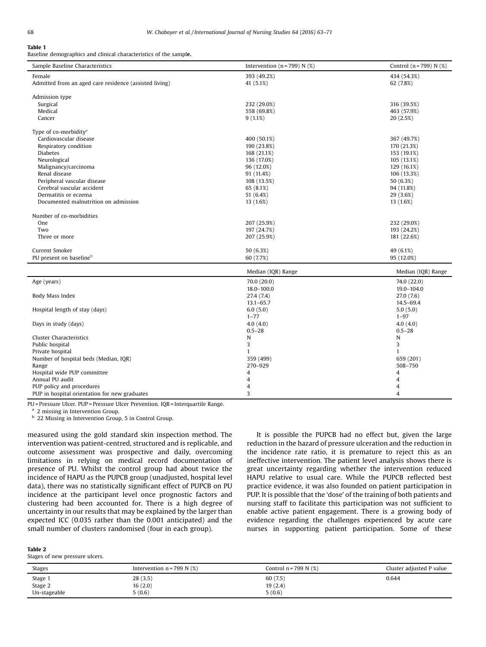## <span id="page-5-0"></span>Table 1

Baseline demographics and clinical characteristics of the sample.

| Sample Baseline Characteristics                        | Intervention ( $n = 799$ ) N (%) | Control ( $n = 799$ ) N (%) |
|--------------------------------------------------------|----------------------------------|-----------------------------|
| Female                                                 | 393 (49.2%)                      | 434 (54.3%)                 |
| Admitted from an aged care residence (assisted living) | 41 (5.1%)                        | 62 (7.8%)                   |
|                                                        |                                  |                             |
| Admission type<br>Surgical                             | 232 (29.0%)                      | 316 (39.5%)                 |
| Medical                                                | 558 (69.8%)                      | 463 (57.9%)                 |
| Cancer                                                 | 9(1.1%)                          | 20 (2.5%)                   |
|                                                        |                                  |                             |
| Type of co-morbidity $a$                               |                                  |                             |
| Cardiovascular disease                                 | 400 (50.1%)                      | 367 (49.7%)                 |
| Respiratory condition                                  | 190 (23.8%)                      | 170 (21.3%)                 |
| <b>Diabetes</b>                                        | 168 (21.1%)                      | 153 (19.1%)                 |
| Neurological                                           | 136 (17.0%)                      | 105 (13.1%)                 |
| Malignancy/carcinoma                                   | 96 (12.0%)                       | 129 (16.1%)                 |
| Renal disease                                          | 91 (11.4%)                       | 106 (13.3%)                 |
| Peripheral vascular disease                            | 108 (13.5%)                      | 50 (6.3%)                   |
| Cerebral vascular accident                             | 65 (8.1%)                        | 94 (11.8%)                  |
| Dermatitis or eczema                                   | 51 (6.4%)                        | 29 (3.6%)                   |
| Documented malnutrition on admission                   | 13 (1.6%)                        | 13 (1.6%)                   |
| Number of co-morbidities                               |                                  |                             |
| One                                                    | 207 (25.9%)                      | 232 (29.0%)                 |
| Two                                                    | 197 (24.7%)                      | 193 (24.2%)                 |
| Three or more                                          | 207 (25.9%)                      | 181 (22.6%)                 |
|                                                        |                                  |                             |
| Current Smoker                                         | 50 (6.3%)                        | 49 (6.1%)                   |
| PU present on baseline <sup>b</sup>                    | 60 (7.7%)                        | 95 (12.0%)                  |
|                                                        | Median (IQR) Range               | Median (IQR) Range          |
| Age (years)                                            | 70.0 (20.0)                      | 74.0 (22.0)                 |
|                                                        | $18.0 - 100.0$                   | 19.0-104.0                  |
| Body Mass Index                                        | 27.4 (7.4)                       | 27.0(7.6)                   |
|                                                        | $13.1 - 65.7$                    | $14.5 - 69.4$               |
| Hospital length of stay (days)                         | 6.0(5.0)                         | 5.0(5.0)                    |
|                                                        | $1 - 77$                         | $1 - 97$                    |
| Days in study (days)                                   | 4.0(4.0)                         | 4.0(4.0)                    |
|                                                        | $0.5 - 28$                       | $0.5 - 28$                  |
| <b>Cluster Characteristics</b>                         | N                                | N                           |
| Public hospital                                        | 3                                | 3                           |
| Private hospital                                       | $\mathbf{1}$                     | $\mathbf{1}$                |
| Number of hospital beds (Median, IQR)                  | 359 (499)                        | 659 (201)                   |
| Range                                                  | 270-929                          | 508-750                     |
| Hospital wide PUP committee                            | 4                                | 4                           |
| Annual PU audit                                        | 4                                | 4                           |
| PUP policy and procedures                              | 4                                | $\overline{4}$              |
| PUP in hospital orientation for new graduates          | 3                                | $\overline{4}$              |

PU = Pressure Ulcer. PUP = Pressure Ulcer Prevention. IQR = Interquartile Range.

<sup>a</sup> 2 missing in Intervention Group.

**b** 22 Missing in Intervention Group, 5 in Control Group.

measured using the gold standard skin inspection method. The intervention was patient-centred, structured and is replicable, and outcome assessment was prospective and daily, overcoming limitations in relying on medical record documentation of presence of PU. Whilst the control group had about twice the incidence of HAPU as the PUPCB group (unadjusted, hospital level data), there was no statistically significant effect of PUPCB on PU incidence at the participant level once prognostic factors and clustering had been accounted for. There is a high degree of uncertainty in our results that may be explained by the larger than expected ICC (0.035 rather than the 0.001 anticipated) and the small number of clusters randomised (four in each group).

#### Table 2

Stages of new pressure ulcers.

It is possible the PUPCB had no effect but, given the large reduction in the hazard of pressure ulceration and the reduction in the incidence rate ratio, it is premature to reject this as an ineffective intervention. The patient level analysis shows there is great uncertainty regarding whether the intervention reduced HAPU relative to usual care. While the PUPCB reflected best practice evidence, it was also founded on patient participation in PUP. It is possible that the 'dose' of the training of both patients and nursing staff to facilitate this participation was not sufficient to enable active patient engagement. There is a growing body of evidence regarding the challenges experienced by acute care nurses in supporting patient participation. Some of these

| <b>Stages</b> | Intervention $n = 799$ N $(\%)$ | Control $n = 799$ N $(\%)$ | Cluster adjusted P value |
|---------------|---------------------------------|----------------------------|--------------------------|
| Stage 1       | 28(3.5)                         | 60(7.5)                    | 0.644                    |
| Stage 2       | 16(2.0)                         | 19(2.4)                    |                          |
| Un-stageable  | 5(0.6)                          | 5(0.6)                     |                          |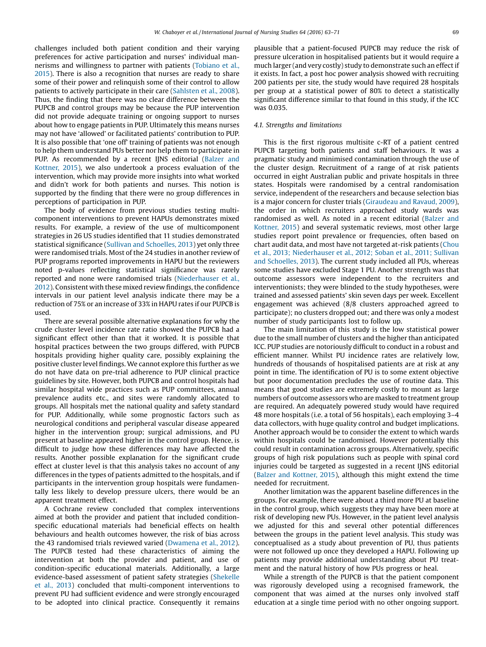challenges included both patient condition and their varying preferences for active participation and nurses' individual mannerisms and willingness to partner with patients [\(Tobiano](#page-8-0) et al., [2015](#page-8-0)). There is also a recognition that nurses are ready to share some of their power and relinquish some of their control to allow patients to actively participate in their care [\(Sahlsten](#page-8-0) et al., 2008). Thus, the finding that there was no clear difference between the PUPCB and control groups may be because the PUP intervention did not provide adequate training or ongoing support to nurses about how to engage patients in PUP. Ultimately this means nurses may not have 'allowed' or facilitated patients' contribution to PUP. It is also possible that 'one off' training of patients was not enough to help them understand PUs better nor help them to participate in PUP. As recommended by a recent IJNS editorial ([Balzer](#page-7-0) and [Kottner,](#page-7-0) 2015), we also undertook a process evaluation of the intervention, which may provide more insights into what worked and didn't work for both patients and nurses. This notion is supported by the finding that there were no group differences in perceptions of participation in PUP.

The body of evidence from previous studies testing multicomponent interventions to prevent HAPUs demonstrates mixed results. For example, a review of the use of multicomponent strategies in 26 US studies identified that 11 studies demonstrated statistical significance (Sullivan and [Schoelles,](#page-8-0) 2013) yet only three were randomised trials. Most of the 24 studies in another review of PUP programs reported improvements in HAPU but the reviewers noted p-values reflecting statistical significance was rarely reported and none were randomised trials [\(Niederhauser](#page-8-0) et al., [2012](#page-8-0)). Consistent with these mixed review findings, the confidence intervals in our patient level analysis indicate there may be a reduction of 75% or an increase of 33% in HAPU rates if our PUPCB is used.

There are several possible alternative explanations for why the crude cluster level incidence rate ratio showed the PUPCB had a significant effect other than that it worked. It is possible that hospital practices between the two groups differed, with PUPCB hospitals providing higher quality care, possibly explaining the positive cluster level findings. We cannot explore this further as we do not have data on pre-trial adherence to PUP clinical practice guidelines by site. However, both PUPCB and control hospitals had similar hospital wide practices such as PUP committees, annual prevalence audits etc., and sites were randomly allocated to groups. All hospitals met the national quality and safety standard for PUP. Additionally, while some prognostic factors such as neurological conditions and peripheral vascular disease appeared higher in the intervention group; surgical admissions, and PU present at baseline appeared higher in the control group. Hence, is difficult to judge how these differences may have affected the results. Another possible explanation for the significant crude effect at cluster level is that this analysis takes no account of any differences in the types of patients admitted to the hospitals, and if participants in the intervention group hospitals were fundamentally less likely to develop pressure ulcers, there would be an apparent treatment effect.

A Cochrane review concluded that complex interventions aimed at both the provider and patient that included conditionspecific educational materials had beneficial effects on health behaviours and health outcomes however, the risk of bias across the 43 randomised trials reviewed varied ([Dwamena](#page-7-0) et al., 2012). The PUPCB tested had these characteristics of aiming the intervention at both the provider and patient, and use of condition-specific educational materials. Additionally, a large evidence-based assessment of patient safety strategies ([Shekelle](#page-8-0) et al., [2013\)](#page-8-0) concluded that multi-component interventions to prevent PU had sufficient evidence and were strongly encouraged to be adopted into clinical practice. Consequently it remains plausible that a patient-focused PUPCB may reduce the risk of pressure ulceration in hospitalised patients but it would require a much larger (and very costly) study to demonstrate such an effectif it exists. In fact, a post hoc power analysis showed with recruiting 200 patients per site, the study would have required 28 hospitals per group at a statistical power of 80% to detect a statistically significant difference similar to that found in this study, if the ICC was 0.035.

#### 4.1. Strengths and limitations

This is the first rigorous multisite c-RT of a patient centred PUPCB targeting both patients and staff behaviours. It was a pragmatic study and minimised contamination through the use of the cluster design. Recruitment of a range of at risk patients occurred in eight Australian public and private hospitals in three states. Hospitals were randomised by a central randomisation service, independent of the researchers and because selection bias is a major concern for cluster trials [\(Giraudeau](#page-7-0) and Ravaud, 2009), the order in which recruiters approached study wards was randomised as well. As noted in a recent editorial ([Balzer](#page-7-0) and [Kottner,](#page-7-0) 2015) and several systematic reviews, most other large studies report point prevalence or frequencies, often based on chart audit data, and most have not targeted at-risk patients ([Chou](#page-7-0) et al., 2013; [Niederhauser](#page-7-0) et al., 2012; Soban et al., 2011; Sullivan and [Schoelles,](#page-7-0) 2013). The current study included all PUs, whereas some studies have excluded Stage 1 PU. Another strength was that outcome assessors were independent to the recruiters and interventionists; they were blinded to the study hypotheses, were trained and assessed patients' skin seven days per week. Excellent engagement was achieved (8/8 clusters approached agreed to participate); no clusters dropped out; and there was only a modest number of study participants lost to follow up.

The main limitation of this study is the low statistical power due to the small number of clusters and the higher than anticipated ICC. PUP studies are notoriously difficult to conduct in a robust and efficient manner. Whilst PU incidence rates are relatively low, hundreds of thousands of hospitalised patients are at risk at any point in time. The identification of PU is to some extent objective but poor documentation precludes the use of routine data. This means that good studies are extremely costly to mount as large numbers of outcome assessors who are masked to treatment group are required. An adequately powered study would have required 48 more hospitals (i.e. a total of 56 hospitals), each employing 3–4 data collectors, with huge quality control and budget implications. Another approach would be to consider the extent to which wards within hospitals could be randomised. However potentially this could result in contamination across groups. Alternatively, specific groups of high risk populations such as people with spinal cord injuries could be targeted as suggested in a recent IJNS editorial (Balzer and [Kottner,](#page-7-0) 2015), although this might extend the time needed for recruitment.

Another limitation was the apparent baseline differences in the groups. For example, there were about a third more PU at baseline in the control group, which suggests they may have been more at risk of developing new PUs. However, in the patient level analysis we adjusted for this and several other potential differences between the groups in the patient level analysis. This study was conceptualised as a study about prevention of PU, thus patients were not followed up once they developed a HAPU. Following up patients may provide additional understanding about PU treatment and the natural history of how PUs progress or heal.

While a strength of the PUPCB is that the patient component was rigorously developed using a recognised framework, the component that was aimed at the nurses only involved staff education at a single time period with no other ongoing support.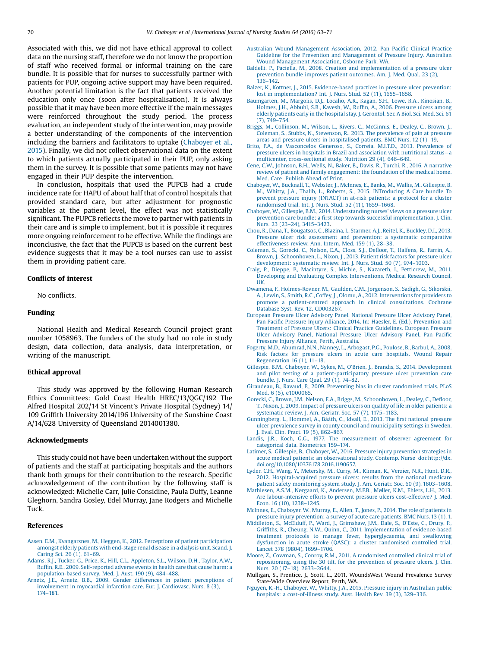<span id="page-7-0"></span>Associated with this, we did not have ethical approval to collect data on the nursing staff, therefore we do not know the proportion of staff who received formal or informal training on the care bundle. It is possible that for nurses to successfully partner with patients for PUP, ongoing active support may have been required. Another potential limitation is the fact that patients received the education only once (soon after hospitalisation). It is always possible that it may have been more effective if the main messages were reinforced throughout the study period. The process evaluation, an independent study of the intervention, may provide a better understanding of the components of the intervention including the barriers and facilitators to uptake (Chaboyer et al., 2015). Finally, we did not collect observational data on the extent to which patients actually participated in their PUP, only asking them in the survey. It is possible that some patients may not have engaged in their PUP despite the intervention.

In conclusion, hospitals that used the PUPCB had a crude incidence rate for HAPU of about half that of control hospitals that provided standard care, but after adjustment for prognostic variables at the patient level, the effect was not statistically significant. The PUPCB reflects the move to partner with patients in their care and is simple to implement, but it is possible it requires more ongoing reinforcement to be effective. While the findings are inconclusive, the fact that the PUPCB is based on the current best evidence suggests that it may be a tool nurses can use to assist them in providing patient care.

## Conflicts of interest

No conflicts.

#### Funding

National Health and Medical Research Council project grant number 1058963. The funders of the study had no role in study design, data collection, data analysis, data interpretation, or writing of the manuscript.

#### Ethical approval

This study was approved by the following Human Research Ethics Committees: Gold Coast Health HREC/13/QGC/192 The Alfred Hospital 202/14 St Vincent's Private Hospital (Sydney) 14/ 109 Griffith University 2014/196 University of the Sunshine Coast A/14/628 University of Queensland 2014001380.

#### Acknowledgments

This study could not have been undertaken without the support of patients and the staff at participating hospitals and the authors thank both groups for their contribution to the research. Specific acknowledgement of the contribution by the following staff is acknowledged: Michelle Carr, Julie Considine, Paula Duffy, Leanne Gleghorn, Sandra Gosley, Edel Murray, Jane Rodgers and Michelle Tuck.

#### References

- Aasen, E.M., [Kvangarsnes,](http://refhub.elsevier.com/S0020-7489(16)30170-5/sbref0005) M., Heggen, K., 2012. Perceptions of patient participation amongst elderly patients with [end-stage](http://refhub.elsevier.com/S0020-7489(16)30170-5/sbref0005) renal disease in a dialysis unit. Scand. J. [Caring](http://refhub.elsevier.com/S0020-7489(16)30170-5/sbref0005) Sci. 26 (1), 61–69.
- Adams, R.J., Tucker, G., Price, K., Hill, C.L., [Appleton,](http://refhub.elsevier.com/S0020-7489(16)30170-5/sbref0010) S.L., Wilson, D.H., Taylor, A.W., Ruffin, R.E., 2009. [Self-reported](http://refhub.elsevier.com/S0020-7489(16)30170-5/sbref0010) adverse events in health care that cause harm: a [population-based](http://refhub.elsevier.com/S0020-7489(16)30170-5/sbref0010) survey. Med. J. Aust. 190 (9), 484–488.
- Arnetz, J.E., Arnetz, B.B., 2009. Gender differences in patient [perceptions](http://refhub.elsevier.com/S0020-7489(16)30170-5/sbref0015) of [involvement](http://refhub.elsevier.com/S0020-7489(16)30170-5/sbref0015) in myocardial infarction care. Eur. J. Cardiovasc. Nurs. 8 (3), 174–[181.](http://refhub.elsevier.com/S0020-7489(16)30170-5/sbref0015)
- Australian Wound [Management](http://refhub.elsevier.com/S0020-7489(16)30170-5/sbref0020) Association, 2012. Pan Pacific Clinical Practice Guideline for the Prevention and [Management](http://refhub.elsevier.com/S0020-7489(16)30170-5/sbref0020) of Pressure Injury. Australian Wound [Management](http://refhub.elsevier.com/S0020-7489(16)30170-5/sbref0020) Association, Osborne Park, WA.
- Baldelli, P., Paciella, M., 2008. Creation and [implementation](http://refhub.elsevier.com/S0020-7489(16)30170-5/sbref0025) of a pressure ulcer [prevention](http://refhub.elsevier.com/S0020-7489(16)30170-5/sbref0025) bundle improves patient outcomes. Am. J. Med. Qual. 23 (2),  $136 - 142$
- Balzer, K., Kottner, J., 2015. [Evidence-based](http://refhub.elsevier.com/S0020-7489(16)30170-5/sbref0030) practices in pressure ulcer prevention: lost in [implementation?](http://refhub.elsevier.com/S0020-7489(16)30170-5/sbref0030) Int. J. Nurs. Stud. 52 (11), 1655–1658.
- [Baumgarten,](http://refhub.elsevier.com/S0020-7489(16)30170-5/sbref0035) M., Margolis, D.J., Localio, A.R., Kagan, S.H., Lowe, R.A., Kinosian, B., Holmes, J.H., Abbuhl, S.B., Kavesh, W., Ruffin, A., 2006. [Pressure](http://refhub.elsevier.com/S0020-7489(16)30170-5/sbref0035) ulcers among elderly patients early in the hospital stay. J. [Gerontol.](http://refhub.elsevier.com/S0020-7489(16)30170-5/sbref0035) Ser. A Biol. Sci. Med. Sci. 61 (7), 749–[754.](http://refhub.elsevier.com/S0020-7489(16)30170-5/sbref0035)
- Briggs, M., Collinson, M., Wilson, L., Rivers, C., [McGinnis,](http://refhub.elsevier.com/S0020-7489(16)30170-5/sbref0040) E., Dealey, C., Brown, J., Coleman, S., Stubbs, N., Stevenson, R., 2013. The [prevalence](http://refhub.elsevier.com/S0020-7489(16)30170-5/sbref0040) of pain at pressure areas and pressure ulcers in [hospitalised](http://refhub.elsevier.com/S0020-7489(16)30170-5/sbref0040) patients. BMC Nurs. 12 (1) 19.
- Brito, P.A., de [Vasconcelos](http://refhub.elsevier.com/S0020-7489(16)30170-5/sbref0045) Generoso, S., Correia, M.I.T.D., 2013. Prevalence of pressure ulcers in hospitals in Brazil and [association](http://refhub.elsevier.com/S0020-7489(16)30170-5/sbref0045) with nutritional status—a multicenter, [cross-sectional](http://refhub.elsevier.com/S0020-7489(16)30170-5/sbref0045) study. Nutrition 29 (4), 646–649.
- Cene, C.W., Johnson, B.H., Wells, N., Baker, B., Davis, R., Turchi, R., 2016. A [narrative](http://refhub.elsevier.com/S0020-7489(16)30170-5/sbref0050) review of patient and family [engagement:](http://refhub.elsevier.com/S0020-7489(16)30170-5/sbref0050) the foundation of the medical home. Med. Care [Publish](http://refhub.elsevier.com/S0020-7489(16)30170-5/sbref0050) Ahead of Print.
- [Chaboyer,](http://refhub.elsevier.com/S0020-7489(16)30170-5/sbref0055) W., Bucknall, T., Webster, J., McInnes, E., Banks, M., Wallis, M., Gillespie, B. M., Whitty, J.A., Thalib, L., Roberts, S., 2015. [INTroducing](http://refhub.elsevier.com/S0020-7489(16)30170-5/sbref0055) A Care bundle To prevent pressure injury [\(INTACT\)](http://refhub.elsevier.com/S0020-7489(16)30170-5/sbref0055) in at-risk patients: a protocol for a cluster [randomised](http://refhub.elsevier.com/S0020-7489(16)30170-5/sbref0055) trial. Int. J. Nurs. Stud. 52 (11), 1659–1668.
- Chaboyer, W., Gillespie, B.M., 2014. [Understanding](http://refhub.elsevier.com/S0020-7489(16)30170-5/sbref0060) nurses' views on a pressure ulcer prevention care bundle: a first step towards successful [implementation.](http://refhub.elsevier.com/S0020-7489(16)30170-5/sbref0060) J. Clin. [Nurs.](http://refhub.elsevier.com/S0020-7489(16)30170-5/sbref0060) 23 (23–24), 3415–3423.
- Chou, R., Dana, T., [Bougatsos,](http://refhub.elsevier.com/S0020-7489(16)30170-5/sbref0065) C., Blazina, I., Starmer, A.J., Reitel, K., Buckley, D.I., 2013. Pressure ulcer risk assessment and prevention: a systematic [comparative](http://refhub.elsevier.com/S0020-7489(16)30170-5/sbref0065) [effectiveness](http://refhub.elsevier.com/S0020-7489(16)30170-5/sbref0065) review. Ann. Intern. Med. 159 (1), 28–38.
- [Coleman,](http://refhub.elsevier.com/S0020-7489(16)30170-5/sbref0070) S., Gorecki, C., Nelson, E.A., Closs, S.J., Defloor, T., Halfens, R., Farrin, A., Brown, J., [Schoonhoven,](http://refhub.elsevier.com/S0020-7489(16)30170-5/sbref0070) L., Nixon, J., 2013. Patient risk factors for pressure ulcer [development:](http://refhub.elsevier.com/S0020-7489(16)30170-5/sbref0070) systematic review. Int. J. Nurs. Stud. 50 (7), 974–1003.
- Craig, P., Dieppe, P., [Macintyre,](http://refhub.elsevier.com/S0020-7489(16)30170-5/sbref0075) S., Michie, S., Nazareth, I., Petticrew, M., 2011. Developing and Evaluating Complex [Interventions.](http://refhub.elsevier.com/S0020-7489(16)30170-5/sbref0075) Medical Research Council, [UK.](http://refhub.elsevier.com/S0020-7489(16)30170-5/sbref0075)
- Dwamena, F., [Holmes-Rovner,](http://refhub.elsevier.com/S0020-7489(16)30170-5/sbref0080) M., Gaulden, C.M., Jorgenson, S., Sadigh, G., Sikorskii, A., Lewin, S., Smith, R.C., Coffey, J., Olomu, A., 2012. [Interventions](http://refhub.elsevier.com/S0020-7489(16)30170-5/sbref0080) for providers to promote a [patient-centred](http://refhub.elsevier.com/S0020-7489(16)30170-5/sbref0080) approach in clinical consultations. Cochrane Database Syst. Rev. 12, [CD003267.](http://refhub.elsevier.com/S0020-7489(16)30170-5/sbref0080)
- [European](http://refhub.elsevier.com/S0020-7489(16)30170-5/sbref0085) Pressure Ulcer Advisory Panel, National Pressure Ulcer Advisory Panel, Pan Pacific Pressure Injury Alliance, 2014. In: Haesler, E. (Ed.), [Prevention](http://refhub.elsevier.com/S0020-7489(16)30170-5/sbref0085) and Treatment of Pressure Ulcers: Clinical Practice [Guidelines.](http://refhub.elsevier.com/S0020-7489(16)30170-5/sbref0085) European Pressure Ulcer [Advisory](http://refhub.elsevier.com/S0020-7489(16)30170-5/sbref0085) Panel, National Pressure Ulcer Advisory Panel, Pan Pacific Pressure Injury Alliance, Perth, [Australia.](http://refhub.elsevier.com/S0020-7489(16)30170-5/sbref0085)
- Fogerty, M.D., [Abumrad,](http://refhub.elsevier.com/S0020-7489(16)30170-5/sbref0090) N.N., Nanney, L., Arbogast, P.G., Poulose, B., Barbul, A., 2008. Risk factors for pressure ulcers in acute care [hospitals.](http://refhub.elsevier.com/S0020-7489(16)30170-5/sbref0090) Wound Repair [Regeneration](http://refhub.elsevier.com/S0020-7489(16)30170-5/sbref0090) 16  $(1)$ , 11-18.
- Gillespie, B.M., Chaboyer, W., Sykes, M., O'Brien, J., Brandis, S., 2014. [Development](http://refhub.elsevier.com/S0020-7489(16)30170-5/sbref0095) and pilot testing of a [patient-participatory](http://refhub.elsevier.com/S0020-7489(16)30170-5/sbref0095) pressure ulcer prevention care [bundle.](http://refhub.elsevier.com/S0020-7489(16)30170-5/sbref0095) J. Nurs. Care Qual. 29 (1), 74–82.
- Giraudeau, B., Ravaud, P., 2009. Preventing bias in cluster [randomised](http://refhub.elsevier.com/S0020-7489(16)30170-5/sbref0100) trials. PLoS Med. 6 (5), [e1000065](http://refhub.elsevier.com/S0020-7489(16)30170-5/sbref0100).
- Gorecki, C., Brown, J.M., Nelson, E.A., Briggs, M., [Schoonhoven,](http://refhub.elsevier.com/S0020-7489(16)30170-5/sbref0105) L., Dealey, C., Defloor, T., Nixon, J., 2009. Impact of pressure ulcers on quality of life in older [patients:](http://refhub.elsevier.com/S0020-7489(16)30170-5/sbref0105) a [systematic](http://refhub.elsevier.com/S0020-7489(16)30170-5/sbref0105) review. J. Am. Geriatr. Soc. 57 (7), 1175–1183.
- [Gunningberg,](http://refhub.elsevier.com/S0020-7489(16)30170-5/sbref0110) L., Hommel, A., Bååth, C., Idvall, E., 2013. The first national pressure ulcer prevalence survey in county council and [municipality](http://refhub.elsevier.com/S0020-7489(16)30170-5/sbref0110) settings in Sweden. J. Eval. Clin. [Pract.](http://refhub.elsevier.com/S0020-7489(16)30170-5/sbref0110) 19 (5), 862–867.
- Landis, J.R., Koch, G.G., 1977. The [measurement](http://refhub.elsevier.com/S0020-7489(16)30170-5/sbref0115) of observer agreement for [categorical](http://refhub.elsevier.com/S0020-7489(16)30170-5/sbref0115) data. Biometrics 159–174.
- Latimer, S., Gillespie, B., Chaboyer, W., 2016. Pressure injury [prevention](http://refhub.elsevier.com/S0020-7489(16)30170-5/sbref0120) strategies in acute medical patients: an [observational](http://refhub.elsevier.com/S0020-7489(16)30170-5/sbref0120) study. Contemp. Nurse doi:http://dx. [doi.org/10.1080/10376178.2016.1190657.](http://dx.doi.org/[18_TD$DIFF][4_TD$DIFF]10.1080/10376178.2016.1190657)
- Lyder, C.H., Wang, Y., [Metersky,](http://refhub.elsevier.com/S0020-7489(16)30170-5/sbref0125) M., Curry, M., Kliman, R., Verzier, N.R., Hunt, D.R., 2012. [Hospital-acquired](http://refhub.elsevier.com/S0020-7489(16)30170-5/sbref0125) pressure ulcers: results from the national medicare patient safety [monitoring](http://refhub.elsevier.com/S0020-7489(16)30170-5/sbref0125) system study. J. Am. Geriatr. Soc. 60 (9), 1603–1608.
- [Mathiesen,](http://refhub.elsevier.com/S0020-7489(16)30170-5/sbref0130) A.S.M., Nørgaard, K., Andersen, M.F.B., Møller, K.M., Ehlers, L.H., 2013. Are [labour-intensive](http://refhub.elsevier.com/S0020-7489(16)30170-5/sbref0130) efforts to prevent pressure ulcers cost-effective? J. Med. [Econ.](http://refhub.elsevier.com/S0020-7489(16)30170-5/sbref0130) 16 (10), 1238–1245.
- McInnes, E., [Chaboyer,](http://refhub.elsevier.com/S0020-7489(16)30170-5/sbref0135) W., Murray, E., Allen, T., Jones, P., 2014. The role of patients in pressure injury [prevention:](http://refhub.elsevier.com/S0020-7489(16)30170-5/sbref0135) a survey of acute care patients. BMC Nurs. 13 (1), 1.
- [Middleton,](http://refhub.elsevier.com/S0020-7489(16)30170-5/sbref0140) S., McElduff, P., Ward, J., Grimshaw, J.M., Dale, S., D'Este, C., Drury, P., Griffiths, R., Cheung, N.W., Quinn, C., 2011. [Implementation](http://refhub.elsevier.com/S0020-7489(16)30170-5/sbref0140) of evidence-based treatment protocols to manage fever, [hyperglycaemia,](http://refhub.elsevier.com/S0020-7489(16)30170-5/sbref0140) and swallowing dysfunction in acute stroke (QASC): a cluster [randomised](http://refhub.elsevier.com/S0020-7489(16)30170-5/sbref0140) controlled trial. Lancet 378 [\(9804\),](http://refhub.elsevier.com/S0020-7489(16)30170-5/sbref0140) 1699–1706.
- Moore, Z., Cowman, S., Conroy, R.M., 2011. A [randomised](http://refhub.elsevier.com/S0020-7489(16)30170-5/sbref0145) controlled clinical trial of [repositioning,](http://refhub.elsevier.com/S0020-7489(16)30170-5/sbref0145) using the 30 tilt, for the prevention of pressure ulcers. J. Clin. [Nurs.](http://refhub.elsevier.com/S0020-7489(16)30170-5/sbref0145) 20 (17–18), 2633–2644.
- Mulligan, S., Prentice, J., Scott, L., 2011. WoundsWest Wound Prevalence Survey State-Wide Overview Report, Perth, WA.
- Nguyen, K.-H., Chaboyer, W., Whitty, J.A., 2015. Pressure injury in [Australian](http://refhub.elsevier.com/S0020-7489(16)30170-5/sbref0155) public hospitals: a [cost-of-illness](http://refhub.elsevier.com/S0020-7489(16)30170-5/sbref0155) study. Aust. Health Rev. 39 (3), 329–336.